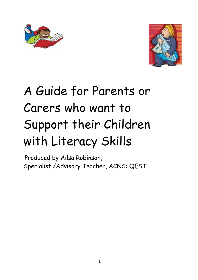



# A Guide for Parents or Carers who want to Support their Children with Literacy Skills

Produced by Ailsa Robinson, Specialist /Advisory Teacher, ACNS: QEST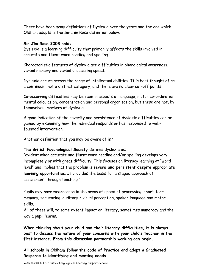There have been many definitions of Dyslexia over the years and the one which Oldham adopts is the Sir Jim Rose definition below.

#### **Sir Jim Rose 2008 said:**

Dyslexia is a learning difficulty that primarily affects the skills involved in accurate and fluent word reading and spelling.

Characteristic features of dyslexia are difficulties in phonological awareness, verbal memory and verbal processing speed.

Dyslexia occurs across the range of intellectual abilities. It is best thought of as a continuum, not a distinct category, and there are no clear cut-off points.

Co-occurring difficulties may be seen in aspects of language, motor co-ordination, mental calculation, concentration and personal organisation, but these are not, by themselves, markers of dyslexia.

A good indication of the severity and persistence of dyslexic difficulties can be gained by examining how the individual responds or has responded to wellfounded intervention.

Another definition that you may be aware of is :

#### **The British Psychological Society** defines dyslexia as:

"evident when accurate and fluent word reading and/or spelling develops very incompletely or with great difficulty. This focuses on literacy learning at "word level" and implies that the problem is **severe and persistent despite appropriate learning opportunities**. It provides the basis for a staged approach of assessment through teaching."

Pupils may have weaknesses in the areas of speed of processing, short-term memory, sequencing, auditory / visual perception, spoken language and motor skills.

All of these will, to some extent impact on literacy, sometimes numeracy and the way a pupil learns.

**When thinking about your child and their literacy difficulties, it is always best to discuss the nature of your concerns with your child's teacher in the first instance. From this discussion partnership working can begin.**

**All schools in Oldham follow the code of Practice and adopt a Graduated Response to identifying and meeting needs**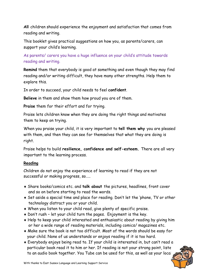**All** children should experience the enjoyment and satisfaction that comes from reading and writing.

This booklet gives practical suggestions on how you, as parents/carers, can support your child's learning.

As parents/ carers you have a huge influence on your child's attitude towards reading and writing.

**Remind** them that everybody is good at something and even though they may find reading and/or writing difficult, they have many other strengths. Help them to explore this.

In order to succeed, your child needs to feel **confident**.

**Believe** in them and show them how proud you are of them.

**Praise** them for their effort and for trying.

Praise lets children know when they are doing the right things and motivates them to keep on trying.

When you praise your child, it is very important to **tell them why** you are pleased with them, and then they can see for themselves that what they are doing is right.

Praise helps to build **resilience, confidence and self-esteem.** There are all very important to the learning process.

# **Reading**

Children do not enjoy the experience of learning to read if they are not successful or making progress, so…..

- Share books/comics etc. and **talk about** the pictures, headlines, front cover and so on before starting to read the words.
- Set aside a special time and place for reading. Don't let the 'phone, TV or other technology distract you or your child.
- When you listen to your child read, give plenty of specific praise.
- Don't rush let your child turn the pages. Enjoyment is the key.
- Help to keep your child interested and enthusiastic about reading by giving him or her a wide range of reading materials, including comics/ magazines etc.
- Make sure the book is not too difficult. Most of the words should be easy for your child. None of us understands or enjoys reading if it is too hard.
- Everybody enjoys being read to. If your child is interested in, but can't read a particular book read it to him or her. If reading is not your strong point, liste to an audio book together. You Tube can be used for this, as well as your local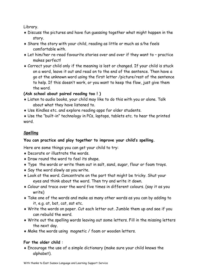Library.

- Discuss the pictures and have fun guessing together what might happen in the story.
- Share the story with your child, reading as little or much as s/he feels comfortable with.
- Let him/her re-read favourite stories over and over if they want to practice makes perfect!
- Correct your child only if the meaning is lost or changed. If your child is stuck on a word, leave it out and read on to the end of the sentence. Then have a go at the unknown word using the first letter /picture/rest of the sentence to help. If this doesn't work, or you want to keep the flow, just give them the word.

# **(Ask school about paired reading too ! )**

- Listen to audio books, your child may like to do this with you or alone. Talk about what they have listened to.
- Use Kindles etc. and explore reading apps for older students.

 Use the "built-in" technology in PCs, laptops, tablets etc. to hear the printed word.

# **Spelling**

# **You can practice and play together to improve your child's spelling.**

Here are some things you can get your child to try:

- Decorate or illustrate the words.
- Draw round the word to feel its shape.
- Type the words or write them out in salt, sand, sugar, flour or foam trays.
- Say the word slowly as you write.
- Look at the word. Concentrate on the part that might be tricky. Shut your eyes and think about the word. Then try and write it down.
- Colour and trace over the word five times in different colours. (say it as you write)
- Take one of the words and make as many other words as you can by adding to it, e.g. at, bat, cat, sat etc.
- Write the words on paper. Cut each letter out. Jumble them up and see if you can rebuild the word.
- Write out the spelling words leaving out some letters. Fill in the missing letters the next day.
- Make the words using magnetic / foam or wooden letters.

# **For the older child** :

 Encourage the use of a simple dictionary (make sure your child knows the alphabet).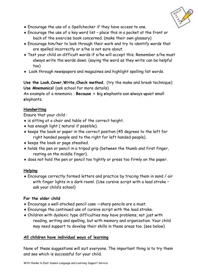

- Encourage the use of a Spellchecker if they have access to one.
- Encourage the use of a key word list place this in a pocket at the front or back of the exercise book concerned. (make their own glossary)
- Encourage him/her to look through their work and try to identify words that are spelled incorrectly or s/he is not sure about.
- Test your child on difficult words if s/he will accept this. Remember s/he must always write the words down. (saying the word as they write can be helpful too)
- Look through newspapers and magazines and highlight spelling list words.

**Use the Look,Cover,Write,Check method.** (try the make and break technique) **Use Mnemonics!** (ask school for more details)

An example of a mnemonic : **Because = b**ig **e**lephants **c**an **a**lways **u**pset **s**mall **e**lephants.

#### **Handwriting**

Ensure that your child :

- $\bullet$  is sitting at a chair and table of the correct height.
- has enough light ( natural if possible).
- $\bullet$  keeps the book or paper in the correct position (45 degrees to the left for right handed people and to the right for left handed people).
- keeps the book or page steadied.
- holds the pen or pencil in a tripod grip (between the thumb and first finger, resting on the middle finger).
- does not hold the pen or pencil too tightly or press too firmly on the paper.

# **Helping**

 Encourage correctly formed letters and practice by tracing them in sand / air with finger lights in a dark room!. (Use cursive script with a lead stroke ask your child's school)

# **For the older child**

- Encourage a well-stocked pencil case —sharp pencils are a must.
- Encourage the continued use of cursive script with the lead stroke.
- Children with dyslexic type difficulties may have problems, not just with reading, writing and spelling, but with memory and organization. Your child may need support to develop their skills in these areas too. (see below)

# **All children have individual ways of learning**

None of these suggestions will suit everyone. The important thing is to try them and see which is successful for your child.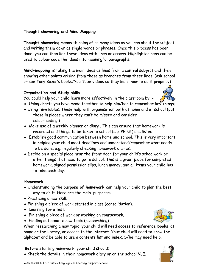#### **Thought showering and Mind Mapping**

**Thought showering** means thinking of as many ideas as you can about the subject and writing them down as single words or phrases. Once this process has been done, you can then link these ideas with lines or arrows. Highlighter pens can be used to colour code the ideas into meaningful paragraphs.

**Mind-mapping** is taking the main ideas as lines from a central subject and then showing other points arising from these as branches from these lines. (ask school or see Tony Buzan's books/You Tube videos so they learn how to do it properly)

#### **Organization and Study skills**

You could help your child learn more effectively in the classroom by: -

- Using charts you have made together to help him/her to remember key things;
- Using timetables. These help with organisation both at home and at school (put these in places where they can't be missed and consider colour coding!)
- Make use of a weekly planner or diary . This can ensure that homework is recorded and things to be taken to school (e.g. PE kit) are listed.
- Establish good communication between home and school. This is very important in helping your child meet deadlines and understand/remember what needs to be done, e.g. regularly checking homework diaries.
- Decide on a special place near the front door for your child's schoolwork or other things that need to go to school. This is a great place for completed homework, signed permission slips, lunch money, and all items your child has to take each day.

#### **Homework**

- Understanding the **purpose of homework** can help your child to plan the best way to do it. Here are the main purposes:-
- Practicing a new skill.
- Finishing a piece of work started in class (consolidation).
- Learning for a test.
- Finishing a piece of work or working on coursework.
- Finding out about a new topic (researching)

When researching a new topic, your child will need access to **reference books**, at home or the library, or access to the i**nternet**. Your child will need to know the **alphabet** and be able to use a **contents** list and **index**. S/he may need help.

**Before** starting homework, your child should:

**Check** the details in their homework diary or on the school VLE.

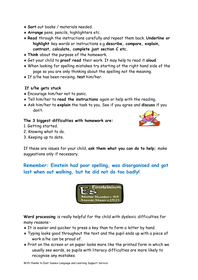- **Sort** out books / materials needed.
- **Arrange** pens, pencils, highlighters etc.
- **Read** through the instructions carefully and repeat them back. **Underline or highlight** key words or instructions e.g **describe, compare, explain, contrast, calculate, complete just section C etc.**
- **Think** about the purpose of the homework.
- Get your child to **proof read** their work. It may help to read it **aloud**.
- When looking for spelling mistakes try starting at the right hand side of the page so you are only thinking about the spelling not the meaning.
- If s/he has been revising, **test** him/her.

#### **If s/he gets stuck**

- Encourage him/her not to panic.
- Tell him/her to **read the instructions** again or help with the reading.
- Ask him/her to **explain** the task to you. See if you agree and **discuss** if you don't.

#### **The 3 biggest difficulties with homework are:**

- 1. Getting started.
- 2. Knowing what to do.
- 3. Keeping up to date.



If these are issues for your child, **ask them what you can do to help;** make suggestions only if necessary.

**Remember: Einstein had poor spelling, was disorganised and got lost when out walking, but he did not do too badly!**



**Word processing** is really helpful for the child with dyslexic difficulties for many reasons:-

- It is easier and quicker to press a key than to form a letter by hand.
- Typing looks good throughout the text and the pupil ends up with a piece of work s/he can be proud of.
- Print on the screen or on paper looks more like the printed form in which we usually see words, so pupils with literacy difficulties are more likely to recognise any mistakes.

With thanks to East Sussex Language and Learning Support Service